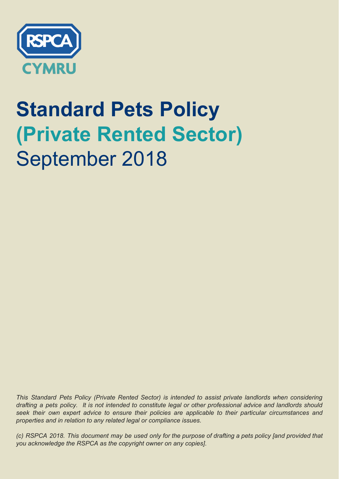

# **Standard Pets Policy (Private Rented Sector)** September 2018

*This Standard Pets Policy (Private Rented Sector) is intended to assist private landlords when considering* drafting a pets policy. It is not intended to constitute legal or other professional advice and landlords should *seek their own expert advice to ensure their policies are applicable to their particular circumstances and properties and in relation to any related legal or compliance issues.*

(c) RSPCA 2018. This document may be used only for the purpose of drafting a pets policy [and provided that *you acknowledge the RSPCA as the copyright owner on any copies]*.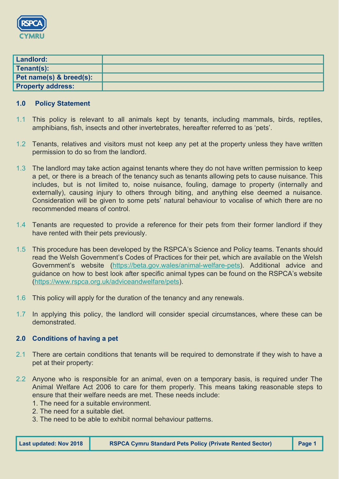

| Landlord:                |  |
|--------------------------|--|
| Tenant(s):               |  |
| Pet name(s) & breed(s):  |  |
| <b>Property address:</b> |  |

## **1.0 Policy Statement**

- 1.1 This policy is relevant to all animals kept by tenants, including mammals, birds, reptiles, amphibians, fish, insects and other invertebrates, hereafter referred to as 'pets'.
- 1.2 Tenants, relatives and visitors must not keep any pet at the property unless they have written permission to do so from the landlord.
- 1.3 The landlord may take action against tenants where they do not have written permission to keep a pet, or there is a breach of the tenancy such as tenants allowing pets to cause nuisance. This includes, but is not limited to, noise nuisance, fouling, damage to property (internally and externally), causing injury to others through biting, and anything else deemed a nuisance. Consideration will be given to some pets' natural behaviour to vocalise of which there are no recommended means of control.
- 1.4 Tenants are requested to provide a reference for their pets from their former landlord if they have rented with their pets previously.
- 1.5 This procedure has been developed by the RSPCA's Science and Policy teams. Tenants should read the Welsh Government's Codes of Practices for their pet, which are available on the Welsh Government's website [\(https://beta.gov.wales/animal-welfare-pets\)](https://beta.gov.wales/animal-welfare-pets). Additional advice and guidance on how to best look after specific animal types can be found on the RSPCA's website (<https://www.rspca.org.uk/adviceandwelfare/pets>).
- 1.6 This policy will apply for the duration of the tenancy and any renewals.
- 1.7 In applying this policy, the landlord will consider special circumstances, where these can be demonstrated.

## **2.0 Conditions of having a pet**

- 2.1 There are certain conditions that tenants will be required to demonstrate if they wish to have a pet at their property:
- 2.2 Anyone who is responsible for an animal, even on a temporary basis, is required under The Animal Welfare Act 2006 to care for them properly. This means taking reasonable steps to ensure that their welfare needs are met. These needs include:
	- 1. The need for a suitable environment.
	- 2. The need for a suitable diet.
	- 3. The need to be able to exhibit normal behaviour patterns.

| Last updated: Nov 2018 | <b>RSPCA Cymru Standard Pets Policy (Private Rented Sector)</b> | Page 1 |
|------------------------|-----------------------------------------------------------------|--------|
|------------------------|-----------------------------------------------------------------|--------|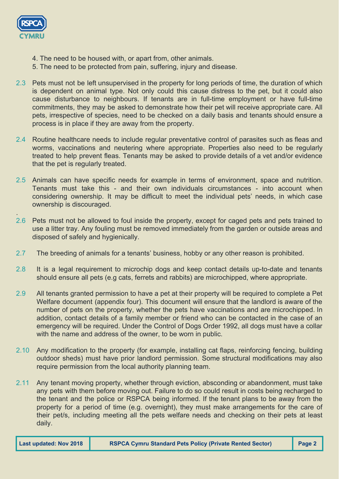

.

- 4. The need to be housed with, or apart from, other animals.
- 5. The need to be protected from pain, suffering, injury and disease.
- 2.3 Pets must not be left unsupervised in the property for long periods of time, the duration of which is dependent on animal type. Not only could this cause distress to the pet, but it could also cause disturbance to neighbours. If tenants are in full-time employment or have full-time commitments, they may be asked to demonstrate how their pet will receive appropriate care. All pets, irrespective of species, need to be checked on a daily basis and tenants should ensure a process is in place if they are away from the property.
- 2.4 Routine healthcare needs to include regular preventative control of parasites such as fleas and worms, vaccinations and neutering where appropriate. Properties also need to be regularly treated to help prevent fleas. Tenants may be asked to provide details of a vet and/or evidence that the pet is regularly treated.
- 2.5 Animals can have specific needs for example in terms of environment, space and nutrition. Tenants must take this - and their own individuals circumstances - into account when considering ownership. It may be difficult to meet the individual pets' needs, in which case ownership is discouraged.
- 2.6 Pets must not be allowed to foul inside the property, except for caged pets and pets trained to use a litter tray. Any fouling must be removed immediately from the garden or outside areas and disposed of safely and hygienically.
- 2.7 The breeding of animals for a tenants' business, hobby or any other reason is prohibited.
- 2.8 It is a legal requirement to microchip dogs and keep contact details up-to-date and tenants should ensure all pets (e.g cats, ferrets and rabbits) are microchipped, where appropriate.
- 2.9 All tenants granted permission to have a pet at their property will be required to complete a Pet Welfare document (appendix four). This document will ensure that the landlord is aware of the number of pets on the property, whether the pets have vaccinations and are microchipped. In addition, contact details of a family member or friend who can be contacted in the case of an emergency will be required. Under the Control of Dogs Order 1992, all dogs must have a collar with the name and address of the owner, to be worn in public.
- 2.10 Any modification to the property (for example, installing cat flaps, reinforcing fencing, building outdoor sheds) must have prior landlord permission. Some structural modifications may also require permission from the local authority planning team.
- 2.11 Any tenant moving property, whether through eviction, absconding or abandonment, must take any pets with them before moving out. Failure to do so could result in costs being recharged to the tenant and the police or RSPCA being informed. If the tenant plans to be away from the property for a period of time (e.g. overnight), they must make arrangements for the care of their pet/s, including meeting all the pets welfare needs and checking on their pets at least daily.

| <b>Last updated: Nov 2018</b> | <b>RSPCA Cymru Standard Pets Policy (Private Rented Sector)</b> | Page 2 |
|-------------------------------|-----------------------------------------------------------------|--------|
|-------------------------------|-----------------------------------------------------------------|--------|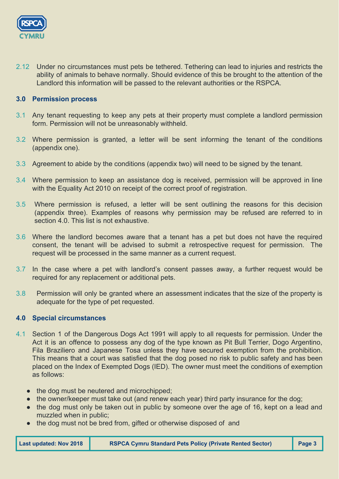

2.12 Under no circumstances must pets be tethered. Tethering can lead to injuries and restricts the ability of animals to behave normally. Should evidence of this be brought to the attention of the Landlord this information will be passed to the relevant authorities or the RSPCA.

# **3.0 Permission process**

- 3.1 Any tenant requesting to keep any pets at their property must complete a landlord permission form. Permission will not be unreasonably withheld.
- 3.2 Where permission is granted, a letter will be sent informing the tenant of the conditions (appendix one).
- 3.3 Agreement to abide by the conditions (appendix two) will need to be signed by the tenant.
- 3.4 Where permission to keep an assistance dog is received, permission will be approved in line with the Equality Act 2010 on receipt of the correct proof of registration.
- 3.5 Where permission is refused, a letter will be sent outlining the reasons for this decision (appendix three). Examples of reasons why permission may be refused are referred to in section 4.0. This list is not exhaustive.
- 3.6 Where the landlord becomes aware that a tenant has a pet but does not have the required consent, the tenant will be advised to submit a retrospective request for permission. The request will be processed in the same manner as a current request.
- 3.7 In the case where a pet with landlord's consent passes away, a further request would be required for any replacement or additional pets.
- 3.8 Permission will only be granted where an assessment indicates that the size of the property is adequate for the type of pet requested.

#### **4.0 Special circumstances**

- 4.1 Section 1 of the Dangerous Dogs Act 1991 will apply to all requests for permission. Under the Act it is an offence to possess any dog of the type known as Pit Bull Terrier, Dogo Argentino, Fila Braziliero and Japanese Tosa unless they have secured exemption from the prohibition. This means that a court was satisfied that the dog posed no risk to public safety and has been placed on the Index of Exempted Dogs (IED). The owner must meet the conditions of exemption as follows:
	- the dog must be neutered and microchipped;
	- the owner/keeper must take out (and renew each year) third party insurance for the dog;
	- the dog must only be taken out in public by someone over the age of 16, kept on a lead and muzzled when in public;
	- the dog must not be bred from, gifted or otherwise disposed of and

| Last updated: Nov 2018 | <b>RSPCA Cymru Standard Pets Policy (Private Rented Sector)</b> | Page 3 |
|------------------------|-----------------------------------------------------------------|--------|
|------------------------|-----------------------------------------------------------------|--------|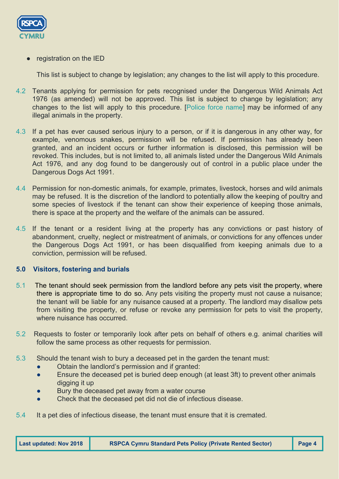| وأيلغ<br>へ          |
|---------------------|
| $\mathbf{v}_i$<br>ю |

registration on the IED

This list is subject to change by legislation; any changes to the list will apply to this procedure.

- 4.2 Tenants applying for permission for pets recognised under the Dangerous Wild Animals Act 1976 (as amended) will not be approved. This list is subject to change by legislation; any changes to the list will apply to this procedure. [Police force name] may be informed of any illegal animals in the property.
- 4.3 If a pet has ever caused serious injury to a person, or if it is dangerous in any other way, for example, venomous snakes, permission will be refused. If permission has already been granted, and an incident occurs or further information is disclosed, this permission will be revoked. This includes, but is not limited to, all animals listed under the Dangerous Wild Animals Act 1976, and any dog found to be dangerously out of control in a public place under the Dangerous Dogs Act 1991.
- 4.4 Permission for non-domestic animals, for example, primates, livestock, horses and wild animals may be refused. It is the discretion of the landlord to potentially allow the keeping of poultry and some species of livestock if the tenant can show their experience of keeping those animals, there is space at the property and the welfare of the animals can be assured.
- 4.5 If the tenant or a resident living at the property has any convictions or past history of abandonment, cruelty, neglect or mistreatment of animals, or convictions for any offences under the Dangerous Dogs Act 1991, or has been disqualified from keeping animals due to a conviction, permission will be refused.

# **5.0 Visitors, fostering and burials**

- 5.1 The tenant should seek permission from the landlord before any pets visit the property, where there is appropriate time to do so. Any pets visiting the property must not cause a nuisance; the tenant will be liable for any nuisance caused at a property. The landlord may disallow pets from visiting the property, or refuse or revoke any permission for pets to visit the property, where nuisance has occurred.
- 5.2 Requests to foster or temporarily look after pets on behalf of others e.g. animal charities will follow the same process as other requests for permission.
- 5.3 Should the tenant wish to bury a deceased pet in the garden the tenant must:
	- Obtain the landlord's permission and if granted:
	- Ensure the deceased pet is buried deep enough (at least 3ft) to prevent other animals digging it up
	- Bury the deceased pet away from a water course
	- Check that the deceased pet did not die of infectious disease.
- 5.4 It a pet dies of infectious disease, the tenant must ensure that it is cremated.

| <b>Last updated: Nov 2018</b> | <b>RSPCA Cymru Standard Pets Policy (Private Rented Sector)</b> | Page 4 |
|-------------------------------|-----------------------------------------------------------------|--------|
|-------------------------------|-----------------------------------------------------------------|--------|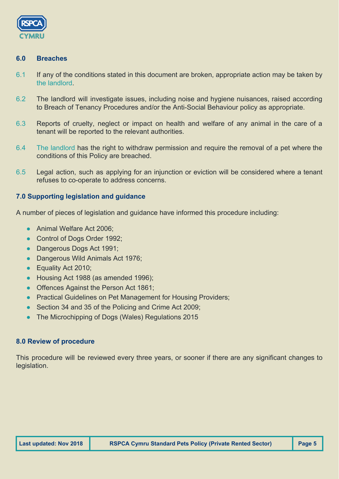

## **6.0 Breaches**

- 6.1 If any of the conditions stated in this document are broken, appropriate action may be taken by the landlord.
- 6.2 The landlord will investigate issues, including noise and hygiene nuisances, raised according to Breach of Tenancy Procedures and/or the Anti-Social Behaviour policy as appropriate.
- 6.3 Reports of cruelty, neglect or impact on health and welfare of any animal in the care of a tenant will be reported to the relevant authorities.
- 6.4 The landlord has the right to withdraw permission and require the removal of a pet where the conditions of this Policy are breached.
- 6.5 Legal action, such as applying for an injunction or eviction will be considered where a tenant refuses to co-operate to address concerns.

# **7.0 Supporting legislation and guidance**

A number of pieces of legislation and guidance have informed this procedure including:

- Animal Welfare Act 2006:
- Control of Dogs Order 1992;
- Dangerous Dogs Act 1991;
- Dangerous Wild Animals Act 1976;
- Equality Act 2010;
- Housing Act 1988 (as amended 1996);
- Offences Against the Person Act 1861;
- Practical Guidelines on Pet Management for Housing Providers;
- Section 34 and 35 of the Policing and Crime Act 2009;
- The Microchipping of Dogs (Wales) Regulations 2015

#### **8.0 Review of procedure**

This procedure will be reviewed every three years, or sooner if there are any significant changes to legislation.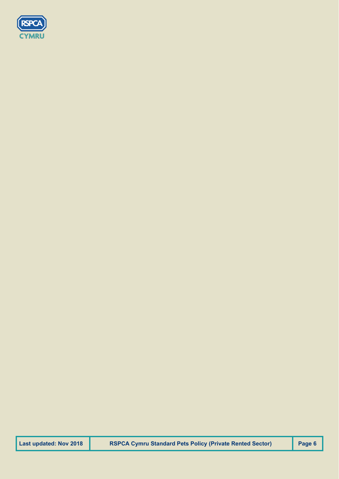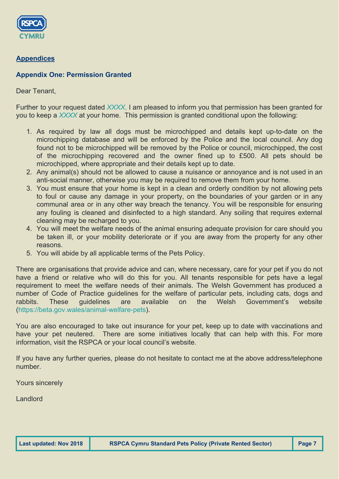

# **Appendices**

# **Appendix One: Permission Granted**

Dear Tenant,

Further to your request dated *XXXX*, I am pleased to inform you that permission has been granted for you to keep a *XXXX* at your home. This permission is granted conditional upon the following:

- 1. As required by law all dogs must be microchipped and details kept up-to-date on the microchipping database and will be enforced by the Police and the local council. Any dog found not to be microchipped will be removed by the Police or council, microchipped, the cost of the microchipping recovered and the owner fined up to £500. All pets should be microchipped, where appropriate and their details kept up to date.
- 2. Any animal(s) should not be allowed to cause a nuisance or annoyance and is not used in an anti-social manner, otherwise you may be required to remove them from your home.
- 3. You must ensure that your home is kept in a clean and orderly condition by not allowing pets to foul or cause any damage in your property, on the boundaries of your garden or in any communal area or in any other way breach the tenancy. You will be responsible for ensuring any fouling is cleaned and disinfected to a high standard. Any soiling that requires external cleaning may be recharged to you.
- 4. You will meet the welfare needs of the animal ensuring adequate provision for care should you be taken ill, or your mobility deteriorate or if you are away from the property for any other reasons.
- 5. You will abide by all applicable terms of the Pets Policy.

There are organisations that provide advice and can, where necessary, care for your pet if you do not have a friend or relative who will do this for you. All tenants responsible for pets have a legal requirement to meet the welfare needs of their animals. The Welsh Government has produced a number of Code of Practice guidelines for the welfare of particular pets, including cats, dogs and rabbits. These guidelines are available on the Welsh Government's website [\(https://beta.gov.wales/animal-welfare-pets\)](https://beta.gov.wales/animal-welfare-pets).

You are also encouraged to take out insurance for your pet, keep up to date with vaccinations and have your pet neutered. There are some initiatives locally that can help with this. For more information, visit the RSPCA or your local council's website.

If you have any further queries, please do not hesitate to contact me at the above address/telephone number.

Yours sincerely

Landlord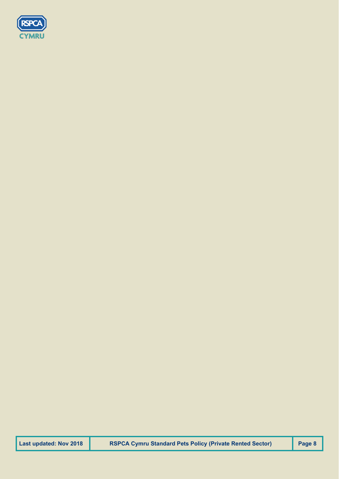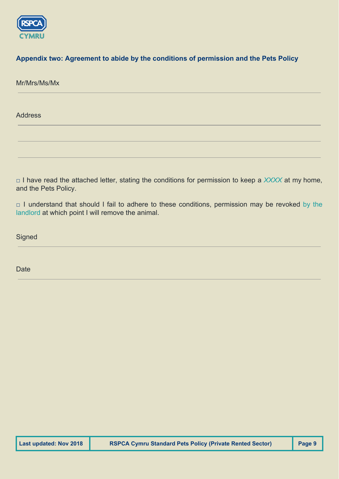

# **Appendix two: Agreement to abide by the conditions of permission and the Pets Policy**

Mr/Mrs/Ms/Mx

Address

**□** I have read the attached letter, stating the conditions for permission to keep a *XXXX* at my home, and the Pets Policy.

□ I understand that should I fail to adhere to these conditions, permission may be revoked by the landlord at which point I will remove the animal.

**Signed** 

**Date**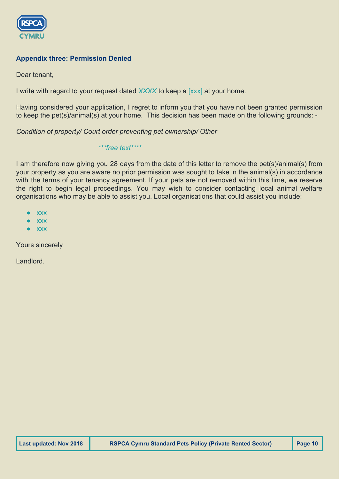

# **Appendix three: Permission Denied**

Dear tenant,

I write with regard to your request dated *XXXX* to keep a [xxx] at your home.

Having considered your application, I regret to inform you that you have not been granted permission to keep the pet(s)/animal(s) at your home. This decision has been made on the following grounds: -

*Condition of property/ Court order preventing pet ownership/ Other*

## *\*\*\*free text\*\*\*\**

I am therefore now giving you 28 days from the date of this letter to remove the pet(s)/animal(s) from your property as you are aware no prior permission was sought to take in the animal(s) in accordance with the terms of your tenancy agreement. If your pets are not removed within this time, we reserve the right to begin legal proceedings. You may wish to consider contacting local animal welfare organisations who may be able to assist you. Local organisations that could assist you include:

- **xxx**
- **xxx**
- xxx

Yours sincerely

Landlord.